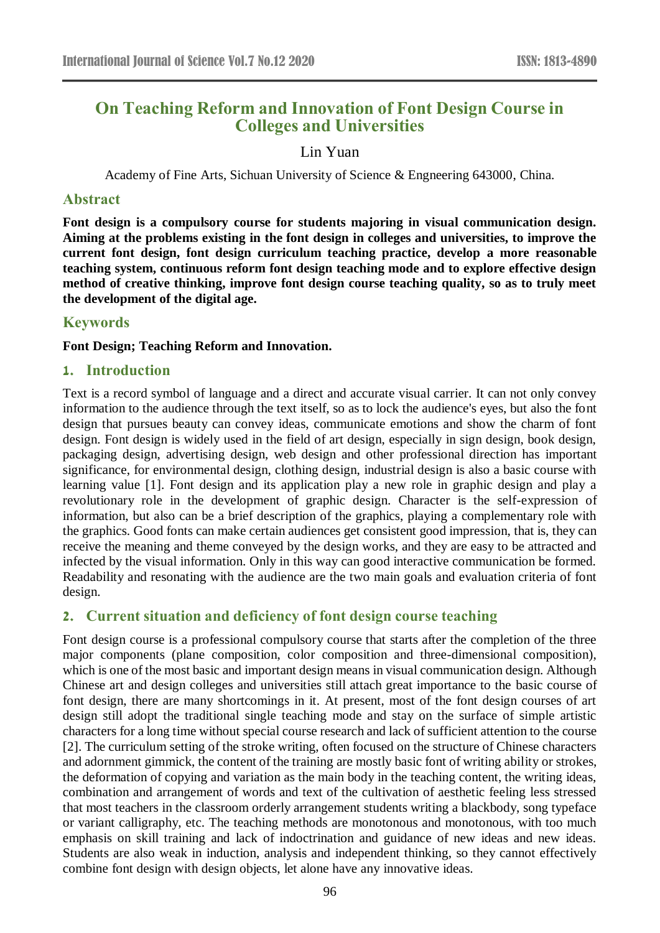# **On Teaching Reform and Innovation of Font Design Course in Colleges and Universities**

### Lin Yuan

Academy of Fine Arts, Sichuan University of Science & Engneering 643000, China.

### **Abstract**

**Font design is a compulsory course for students majoring in visual communication design. Aiming at the problems existing in the font design in colleges and universities, to improve the current font design, font design curriculum teaching practice, develop a more reasonable teaching system, continuous reform font design teaching mode and to explore effective design method of creative thinking, improve font design course teaching quality, so as to truly meet the development of the digital age.**

### **Keywords**

### **Font Design; Teaching Reform and Innovation.**

### **1. Introduction**

Text is a record symbol of language and a direct and accurate visual carrier. It can not only convey information to the audience through the text itself, so as to lock the audience's eyes, but also the font design that pursues beauty can convey ideas, communicate emotions and show the charm of font design. Font design is widely used in the field of art design, especially in sign design, book design, packaging design, advertising design, web design and other professional direction has important significance, for environmental design, clothing design, industrial design is also a basic course with learning value [1]. Font design and its application play a new role in graphic design and play a revolutionary role in the development of graphic design. Character is the self-expression of information, but also can be a brief description of the graphics, playing a complementary role with the graphics. Good fonts can make certain audiences get consistent good impression, that is, they can receive the meaning and theme conveyed by the design works, and they are easy to be attracted and infected by the visual information. Only in this way can good interactive communication be formed. Readability and resonating with the audience are the two main goals and evaluation criteria of font design.

### **2. Current situation and deficiency of font design course teaching**

Font design course is a professional compulsory course that starts after the completion of the three major components (plane composition, color composition and three-dimensional composition), which is one of the most basic and important design means in visual communication design. Although Chinese art and design colleges and universities still attach great importance to the basic course of font design, there are many shortcomings in it. At present, most of the font design courses of art design still adopt the traditional single teaching mode and stay on the surface of simple artistic characters for a long time without special course research and lack of sufficient attention to the course [2]. The curriculum setting of the stroke writing, often focused on the structure of Chinese characters and adornment gimmick, the content of the training are mostly basic font of writing ability or strokes, the deformation of copying and variation as the main body in the teaching content, the writing ideas, combination and arrangement of words and text of the cultivation of aesthetic feeling less stressed that most teachers in the classroom orderly arrangement students writing a blackbody, song typeface or variant calligraphy, etc. The teaching methods are monotonous and monotonous, with too much emphasis on skill training and lack of indoctrination and guidance of new ideas and new ideas. Students are also weak in induction, analysis and independent thinking, so they cannot effectively combine font design with design objects, let alone have any innovative ideas.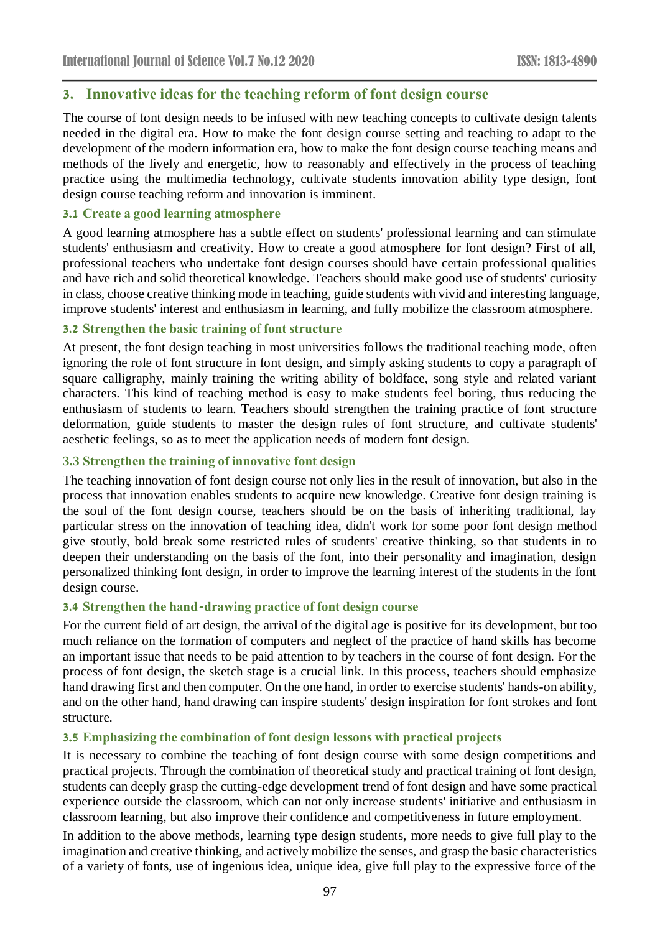### **3. Innovative ideas for the teaching reform of font design course**

The course of font design needs to be infused with new teaching concepts to cultivate design talents needed in the digital era. How to make the font design course setting and teaching to adapt to the development of the modern information era, how to make the font design course teaching means and methods of the lively and energetic, how to reasonably and effectively in the process of teaching practice using the multimedia technology, cultivate students innovation ability type design, font design course teaching reform and innovation is imminent.

### **3.1 Create a good learning atmosphere**

A good learning atmosphere has a subtle effect on students' professional learning and can stimulate students' enthusiasm and creativity. How to create a good atmosphere for font design? First of all, professional teachers who undertake font design courses should have certain professional qualities and have rich and solid theoretical knowledge. Teachers should make good use of students' curiosity in class, choose creative thinking mode in teaching, guide students with vivid and interesting language, improve students' interest and enthusiasm in learning, and fully mobilize the classroom atmosphere.

### **3.2 Strengthen the basic training of font structure**

At present, the font design teaching in most universities follows the traditional teaching mode, often ignoring the role of font structure in font design, and simply asking students to copy a paragraph of square calligraphy, mainly training the writing ability of boldface, song style and related variant characters. This kind of teaching method is easy to make students feel boring, thus reducing the enthusiasm of students to learn. Teachers should strengthen the training practice of font structure deformation, guide students to master the design rules of font structure, and cultivate students' aesthetic feelings, so as to meet the application needs of modern font design.

### **3.3 Strengthen the training of innovative font design**

The teaching innovation of font design course not only lies in the result of innovation, but also in the process that innovation enables students to acquire new knowledge. Creative font design training is the soul of the font design course, teachers should be on the basis of inheriting traditional, lay particular stress on the innovation of teaching idea, didn't work for some poor font design method give stoutly, bold break some restricted rules of students' creative thinking, so that students in to deepen their understanding on the basis of the font, into their personality and imagination, design personalized thinking font design, in order to improve the learning interest of the students in the font design course.

### **3.4 Strengthen the hand-drawing practice of font design course**

For the current field of art design, the arrival of the digital age is positive for its development, but too much reliance on the formation of computers and neglect of the practice of hand skills has become an important issue that needs to be paid attention to by teachers in the course of font design. For the process of font design, the sketch stage is a crucial link. In this process, teachers should emphasize hand drawing first and then computer. On the one hand, in order to exercise students' hands-on ability, and on the other hand, hand drawing can inspire students' design inspiration for font strokes and font structure.

### **3.5 Emphasizing the combination of font design lessons with practical projects**

It is necessary to combine the teaching of font design course with some design competitions and practical projects. Through the combination of theoretical study and practical training of font design, students can deeply grasp the cutting-edge development trend of font design and have some practical experience outside the classroom, which can not only increase students' initiative and enthusiasm in classroom learning, but also improve their confidence and competitiveness in future employment.

In addition to the above methods, learning type design students, more needs to give full play to the imagination and creative thinking, and actively mobilize the senses, and grasp the basic characteristics of a variety of fonts, use of ingenious idea, unique idea, give full play to the expressive force of the